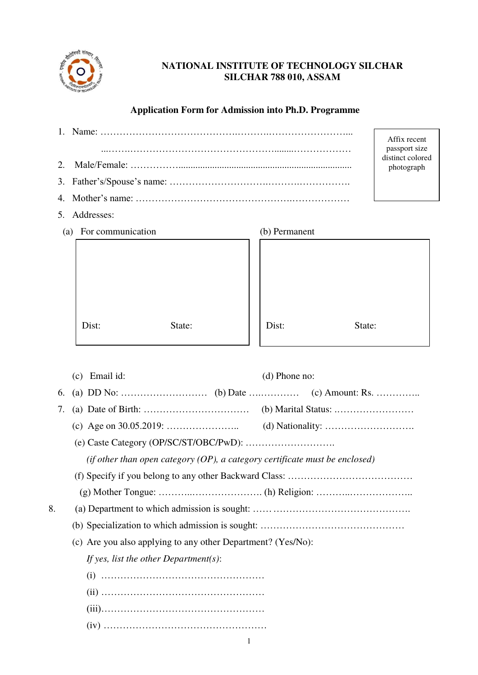

# **NATIONAL INSTITUTE OF TECHNOLOGY SILCHAR SILCHAR 788 010, ASSAM**

# **Application Form for Admission into Ph.D. Programme**

|                       |        |               |        | Affix recent                      |
|-----------------------|--------|---------------|--------|-----------------------------------|
|                       |        |               |        | passport size<br>distinct colored |
|                       |        |               |        | photograph                        |
|                       |        |               |        |                                   |
|                       |        |               |        |                                   |
| 5. Addresses:         |        |               |        |                                   |
| (a) For communication |        | (b) Permanent |        |                                   |
|                       |        |               |        |                                   |
|                       |        |               |        |                                   |
|                       |        |               |        |                                   |
|                       |        |               |        |                                   |
|                       |        |               |        |                                   |
|                       |        |               |        |                                   |
| Dist:                 | State: | Dist:         | State: |                                   |

|    | $(c)$ Email id:<br>$(d)$ Phone no:                                             |  |
|----|--------------------------------------------------------------------------------|--|
| 6. |                                                                                |  |
| 7. |                                                                                |  |
|    |                                                                                |  |
|    |                                                                                |  |
|    | (if other than open category $(OP)$ , a category certificate must be enclosed) |  |
|    |                                                                                |  |
|    |                                                                                |  |
| 8. |                                                                                |  |
|    |                                                                                |  |
|    | (c) Are you also applying to any other Department? (Yes/No):                   |  |
|    | If yes, list the other Department(s):                                          |  |
|    |                                                                                |  |
|    |                                                                                |  |
|    |                                                                                |  |
|    |                                                                                |  |
|    | 1                                                                              |  |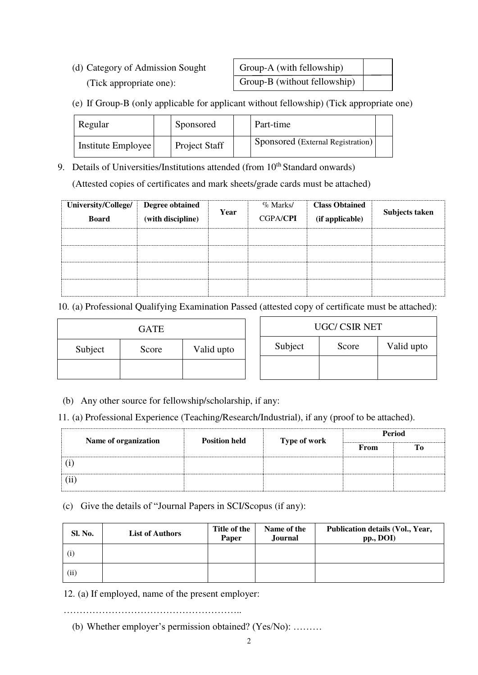(d) Category of Admission Sought (Tick appropriate one):

| Group-A (with fellowship)    |  |
|------------------------------|--|
| Group-B (without fellowship) |  |

(e) If Group-B (only applicable for applicant without fellowship) (Tick appropriate one)

| Regular            | Sponsored            | Part-time                         |  |
|--------------------|----------------------|-----------------------------------|--|
| Institute Employee | <b>Project Staff</b> | Sponsored (External Registration) |  |

9. Details of Universities/Institutions attended (from  $10<sup>th</sup>$  Standard onwards) (Attested copies of certificates and mark sheets/grade cards must be attached)

| University/College/<br><b>Board</b> | <b>Degree obtained</b><br>(with discipline) | Year | $\%$ Marks/<br><b>CGPA/CPI</b> | <b>Class Obtained</b><br>(if applicable) | Subjects taken |
|-------------------------------------|---------------------------------------------|------|--------------------------------|------------------------------------------|----------------|
|                                     |                                             |      |                                |                                          |                |
|                                     |                                             |      |                                |                                          |                |
|                                     |                                             |      |                                |                                          |                |
|                                     |                                             |      |                                |                                          |                |

10. (a) Professional Qualifying Examination Passed (attested copy of certificate must be attached):

|         | <b>GATE</b> |            |         | UGC/ CSIR NET |            |  |
|---------|-------------|------------|---------|---------------|------------|--|
| Subject | Score       | Valid upto | Subject | Score         | Valid upto |  |
|         |             |            |         |               |            |  |

(b) Any other source for fellowship/scholarship, if any:

11. (a) Professional Experience (Teaching/Research/Industrial), if any (proof to be attached).

| Name of organization | <b>Position held</b> | Type of work | Period |    |  |  |
|----------------------|----------------------|--------------|--------|----|--|--|
|                      |                      |              | From   | To |  |  |
|                      |                      |              |        |    |  |  |
| (ii                  |                      |              |        |    |  |  |

# (c) Give the details of "Journal Papers in SCI/Scopus (if any):

| Sl. No. | <b>List of Authors</b> | Title of the<br>Paper | Name of the<br>Journal | Publication details (Vol., Year,<br>pp., DOI) |
|---------|------------------------|-----------------------|------------------------|-----------------------------------------------|
|         |                        |                       |                        |                                               |
| (ii)    |                        |                       |                        |                                               |

12. (a) If employed, name of the present employer:

………………………………………………..

(b) Whether employer's permission obtained? (Yes/No): ………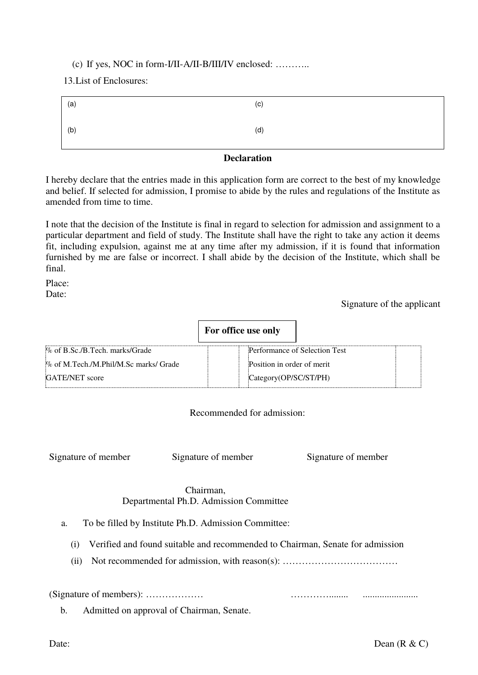# (c) If yes, NOC in form-I/II-A/II-B/III/IV enclosed: ………..

13.List of Enclosures:

| (a) | (c) |
|-----|-----|
| (b) | (d) |
|     | ___ |

# **Declaration**

I hereby declare that the entries made in this application form are correct to the best of my knowledge and belief. If selected for admission, I promise to abide by the rules and regulations of the Institute as amended from time to time.

I note that the decision of the Institute is final in regard to selection for admission and assignment to a particular department and field of study. The Institute shall have the right to take any action it deems fit, including expulsion, against me at any time after my admission, if it is found that information furnished by me are false or incorrect. I shall abide by the decision of the Institute, which shall be final.

Place: Date:

Signature of the applicant

|                                       | For office use only        |                               |
|---------------------------------------|----------------------------|-------------------------------|
| % of B.Sc./B.Tech. marks/Grade        |                            | Performance of Selection Test |
| % of M.Tech./M.Phil/M.Sc marks/ Grade | Position in order of merit |                               |
| <b>GATE/NET</b> score                 | Category(OP/SC/ST/PH)      |                               |

## Recommended for admission:

Signature of member Signature of member Signature of member

# Chairman, Departmental Ph.D. Admission Committee

- a. To be filled by Institute Ph.D. Admission Committee:
	- (i) Verified and found suitable and recommended to Chairman, Senate for admission
	- (ii) Not recommended for admission, with reason(s): ……………………………………………………………………………

(Signature of members): ……………… …………........ .......................

b. Admitted on approval of Chairman, Senate.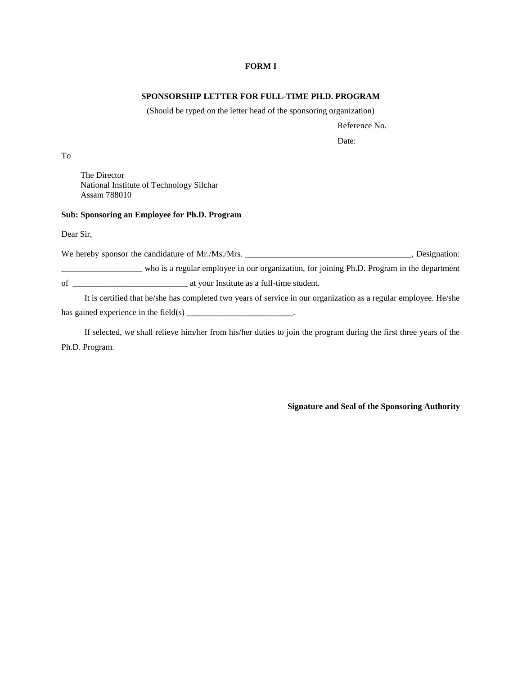#### **FORM I**

#### **SPONSORSHIP LETTER FOR FULL-TIME PH.D. PROGRAM**

(Should be typed on the letter head of the sponsoring organization)

Reference No.

Date:

To

The Director National Institute of Technology Silchar Assam 788010

#### **Sub: Sponsoring an Employee for Ph.D. Program**

Dear Sir,

We hereby sponsor the candidature of Mr./Ms./Mrs. \_\_\_\_\_\_\_\_\_\_\_\_\_\_\_\_\_\_\_\_\_\_\_\_\_\_\_\_\_\_, Designation: \_\_\_\_\_\_\_\_\_\_\_\_\_\_\_\_\_\_\_ who is a regular employee in our organization, for joining Ph.D. Program in the department of \_\_\_\_\_\_\_\_\_\_\_\_\_\_\_\_\_\_\_\_\_\_\_\_\_\_\_ at your Institute as a full-time student.

It is certified that he/she has completed two years of service in our organization as a regular employee. He/she has gained experience in the field(s)  $\frac{1}{\frac{1}{1-\frac{1}{1-\frac{1}{1-\frac{1}{1-\frac{1}{1-\frac{1}{1-\frac{1}{1-\frac{1}{1-\frac{1}{1-\frac{1}{1-\frac{1}{1-\frac{1}{1-\frac{1}{1-\frac{1}{1-\frac{1}{1-\frac{1}{1-\frac{1}{1-\frac{1}{1-\frac{1}{1-\frac{1}{1-\frac{1}{1-\frac{1}{1-\frac{1}{1-\frac{1}{1-\frac{1}{1-\frac{1}{1-\frac{1}{1-\frac{1}{1-\frac{1}{1-\frac{$ 

If selected, we shall relieve him/her from his/her duties to join the program during the first three years of the Ph.D. Program.

**Signature and Seal of the Sponsoring Authority**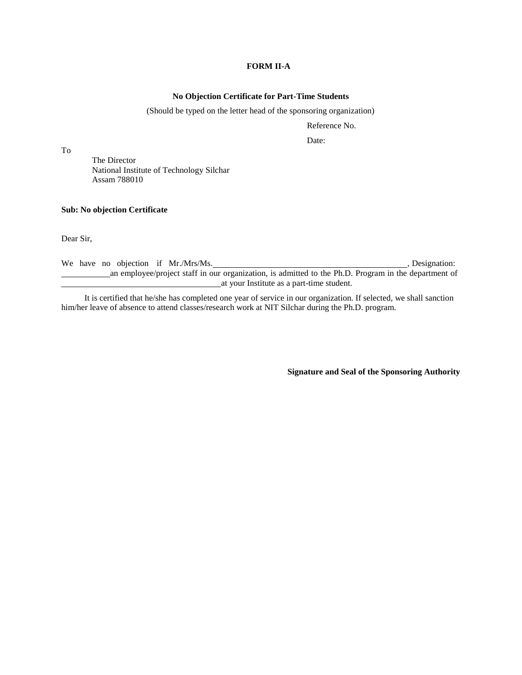### **FORM II-A**

#### **No Objection Certificate for Part-Time Students**

#### (Should be typed on the letter head of the sponsoring organization)

Reference No.

Date:

To

The Director National Institute of Technology Silchar Assam 788010

#### **Sub: No objection Certificate**

Dear Sir,

We have no objection if Mr./Mrs/Ms. , Designation: , Designation: an employee/project staff in our organization, is admitted to the Ph.D. Program in the department of at your Institute as a part-time student.

It is certified that he/she has completed one year of service in our organization. If selected, we shall sanction him/her leave of absence to attend classes/research work at NIT Silchar during the Ph.D. program.

**Signature and Seal of the Sponsoring Authority**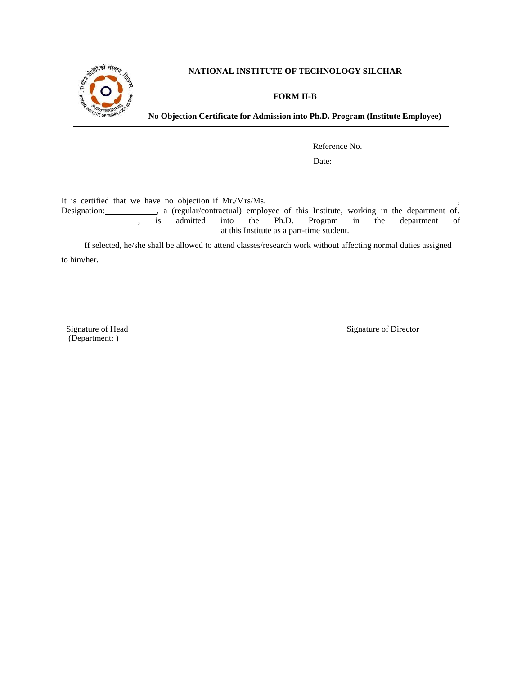

## **NATIONAL INSTITUTE OF TECHNOLOGY SILCHAR**

### **FORM II-B**

**No Objection Certificate for Admission into Ph.D. Program (Institute Employee)**

Reference No.

Date:

It is certified that we have no objection if Mr./Mrs/Ms.

Designation: , a (regular/contractual) employee of this Institute, working in the department of. is admitted into the Ph.D. Program in the department of at this Institute as a part-time student.

If selected, he/she shall be allowed to attend classes/research work without affecting normal duties assigned to him/her.

Signature of Head (Department: )

Signature of Director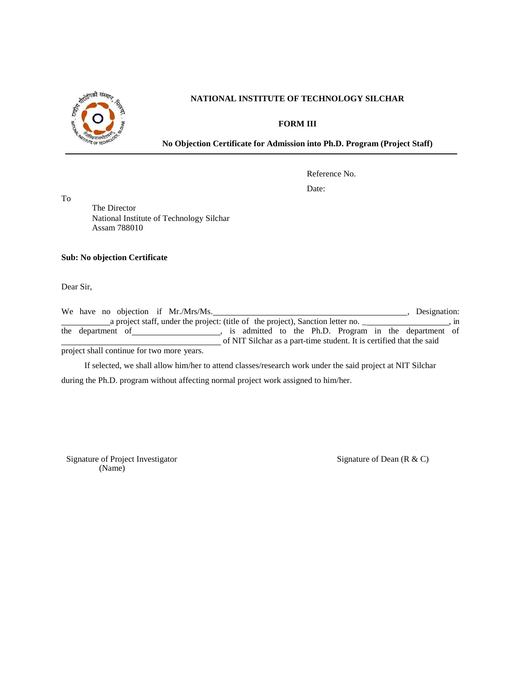

### **NATIONAL INSTITUTE OF TECHNOLOGY SILCHAR**

**FORM III**

**No Objection Certificate for Admission into Ph.D. Program (Project Staff)**

Reference No.

Date:

To

The Director National Institute of Technology Silchar Assam 788010

#### **Sub: No objection Certificate**

Dear Sir,

|                                            |                                                                                 |  |  |  | We have no objection if Mr./Mrs/Ms. |  |  |  |  |  |     | Designation:                                          |  |
|--------------------------------------------|---------------------------------------------------------------------------------|--|--|--|-------------------------------------|--|--|--|--|--|-----|-------------------------------------------------------|--|
|                                            | a project staff, under the project: (title of the project), Sanction letter no. |  |  |  |                                     |  |  |  |  |  | . m |                                                       |  |
|                                            | the department of                                                               |  |  |  |                                     |  |  |  |  |  |     | is admitted to the Ph.D. Program in the department of |  |
|                                            | of NIT Silchar as a part-time student. It is certified that the said            |  |  |  |                                     |  |  |  |  |  |     |                                                       |  |
| project shall continue for two more years. |                                                                                 |  |  |  |                                     |  |  |  |  |  |     |                                                       |  |

If selected, we shall allow him/her to attend classes/research work under the said project at NIT Silchar during the Ph.D. program without affecting normal project work assigned to him/her.

Signature of Project Investigator (Name)

Signature of Dean (R & C)